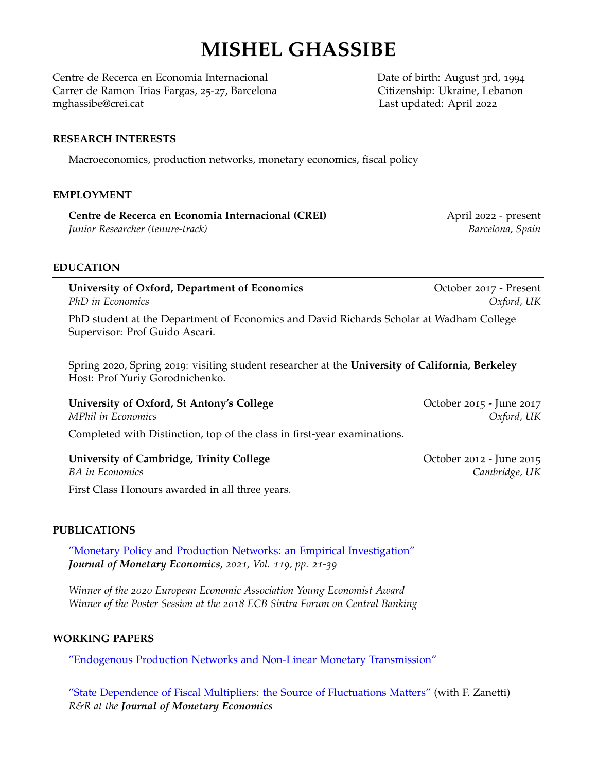# **MISHEL GHASSIBE**

Centre de Recerca en Economia Internacional Date of birth: August 3rd, 1994 Carrer de Ramon Trias Fargas, 25-27, Barcelona Citizenship: Ukraine, Lebanon mghassibe@crei.cat Last updated: April 2022

#### **RESEARCH INTERESTS**

Macroeconomics, production networks, monetary economics, fiscal policy

#### **EMPLOYMENT**

Centre de Recerca en Economia Internacional (CREI) April 2022 - present *Junior Researcher (tenure-track) Barcelona, Spain*

# **EDUCATION**

**University of Oxford, Department of Economics** October 2017 - Present *PhD in Economics Oxford, UK*

PhD student at the Department of Economics and David Richards Scholar at Wadham College Supervisor: Prof Guido Ascari.

Spring 2020, Spring 2019: visiting student researcher at the **University of California, Berkeley** Host: Prof Yuriy Gorodnichenko.

| University of Oxford, St Antony's College                                | October 2015 - June 2017 |
|--------------------------------------------------------------------------|--------------------------|
| <i>MPhil in Economics</i>                                                | Oxford, UK               |
| Completed with Distinction, top of the class in first-year examinations. |                          |

| University of Cambridge, Trinity College        | October 2012 - June 2015 |
|-------------------------------------------------|--------------------------|
| BA in Economics                                 | Cambridge, UK            |
| First Class Honours awarded in all three years. |                          |

#### **PUBLICATIONS**

["Monetary Policy and Production Networks: an Empirical Investigation"](https://www.sciencedirect.com/science/article/pii/S0304393221000179) *Journal of Monetary Economics*, *2021, Vol. 119, pp. 21-39*

*Winner of the 2020 European Economic Association Young Economist Award Winner of the Poster Session at the 2018 ECB Sintra Forum on Central Banking*

#### **WORKING PAPERS**

["Endogenous Production Networks and Non-Linear Monetary Transmission"](https://ghassibem.github.io/Ghassibe_jmp.pdf)

["State Dependence of Fiscal Multipliers: the Source of Fluctuations Matters"](https://ghassibem.github.io/fiscal_multip_Sep21.pdf) (with F. Zanetti) *R&R at the Journal of Monetary Economics*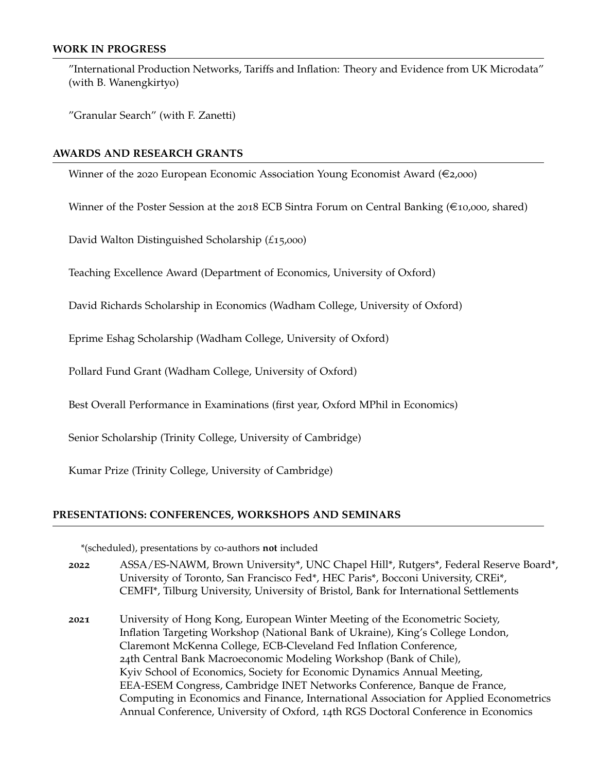#### **WORK IN PROGRESS**

"International Production Networks, Tariffs and Inflation: Theory and Evidence from UK Microdata" (with B. Wanengkirtyo)

"Granular Search" (with F. Zanetti)

#### **AWARDS AND RESEARCH GRANTS**

Winner of the 2020 European Economic Association Young Economist Award ( $\epsilon$ 2,000)

Winner of the Poster Session at the 2018 ECB Sintra Forum on Central Banking ( $\in$ 10,000, shared)

David Walton Distinguished Scholarship (*£*15,000)

Teaching Excellence Award (Department of Economics, University of Oxford)

David Richards Scholarship in Economics (Wadham College, University of Oxford)

Eprime Eshag Scholarship (Wadham College, University of Oxford)

Pollard Fund Grant (Wadham College, University of Oxford)

Best Overall Performance in Examinations (first year, Oxford MPhil in Economics)

Senior Scholarship (Trinity College, University of Cambridge)

Kumar Prize (Trinity College, University of Cambridge)

#### **PRESENTATIONS: CONFERENCES, WORKSHOPS AND SEMINARS**

\*(scheduled), presentations by co-authors **not** included

- **2022** ASSA/ES-NAWM, Brown University\*, UNC Chapel Hill\*, Rutgers\*, Federal Reserve Board\*, University of Toronto, San Francisco Fed\*, HEC Paris\*, Bocconi University, CREi\*, CEMFI\*, Tilburg University, University of Bristol, Bank for International Settlements
- **2021** University of Hong Kong, European Winter Meeting of the Econometric Society, Inflation Targeting Workshop (National Bank of Ukraine), King's College London, Claremont McKenna College, ECB-Cleveland Fed Inflation Conference, 24th Central Bank Macroeconomic Modeling Workshop (Bank of Chile), Kyiv School of Economics, Society for Economic Dynamics Annual Meeting, EEA-ESEM Congress, Cambridge INET Networks Conference, Banque de France, Computing in Economics and Finance, International Association for Applied Econometrics Annual Conference, University of Oxford, 14th RGS Doctoral Conference in Economics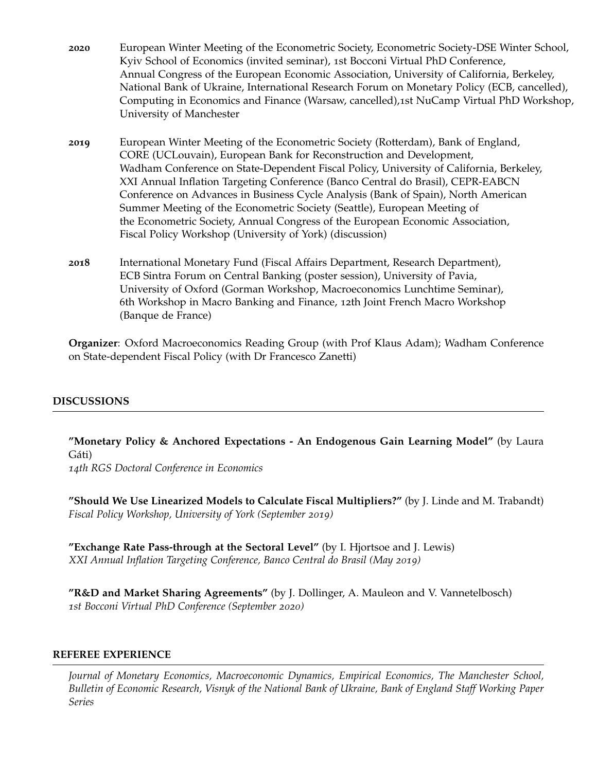- **2020** European Winter Meeting of the Econometric Society, Econometric Society-DSE Winter School, Kyiv School of Economics (invited seminar), 1st Bocconi Virtual PhD Conference, Annual Congress of the European Economic Association, University of California, Berkeley, National Bank of Ukraine, International Research Forum on Monetary Policy (ECB, cancelled), Computing in Economics and Finance (Warsaw, cancelled),1st NuCamp Virtual PhD Workshop, University of Manchester
- **2019** European Winter Meeting of the Econometric Society (Rotterdam), Bank of England, CORE (UCLouvain), European Bank for Reconstruction and Development, Wadham Conference on State-Dependent Fiscal Policy, University of California, Berkeley, XXI Annual Inflation Targeting Conference (Banco Central do Brasil), CEPR-EABCN Conference on Advances in Business Cycle Analysis (Bank of Spain), North American Summer Meeting of the Econometric Society (Seattle), European Meeting of the Econometric Society, Annual Congress of the European Economic Association, Fiscal Policy Workshop (University of York) (discussion)
- **2018** International Monetary Fund (Fiscal Affairs Department, Research Department), ECB Sintra Forum on Central Banking (poster session), University of Pavia, University of Oxford (Gorman Workshop, Macroeconomics Lunchtime Seminar), 6th Workshop in Macro Banking and Finance, 12th Joint French Macro Workshop (Banque de France)

**Organizer**: Oxford Macroeconomics Reading Group (with Prof Klaus Adam); Wadham Conference on State-dependent Fiscal Policy (with Dr Francesco Zanetti)

## **DISCUSSIONS**

**"Monetary Policy & Anchored Expectations - An Endogenous Gain Learning Model"** (by Laura Gáti)

*14th RGS Doctoral Conference in Economics*

**"Should We Use Linearized Models to Calculate Fiscal Multipliers?"** (by J. Linde and M. Trabandt) *Fiscal Policy Workshop, University of York (September 2019)*

**"Exchange Rate Pass-through at the Sectoral Level"** (by I. Hjortsoe and J. Lewis) *XXI Annual Inflation Targeting Conference, Banco Central do Brasil (May 2019)*

**"R&D and Market Sharing Agreements"** (by J. Dollinger, A. Mauleon and V. Vannetelbosch) *1st Bocconi Virtual PhD Conference (September 2020)*

#### **REFEREE EXPERIENCE**

*Journal of Monetary Economics, Macroeconomic Dynamics, Empirical Economics, The Manchester School, Bulletin of Economic Research, Visnyk of the National Bank of Ukraine, Bank of England Staff Working Paper Series*